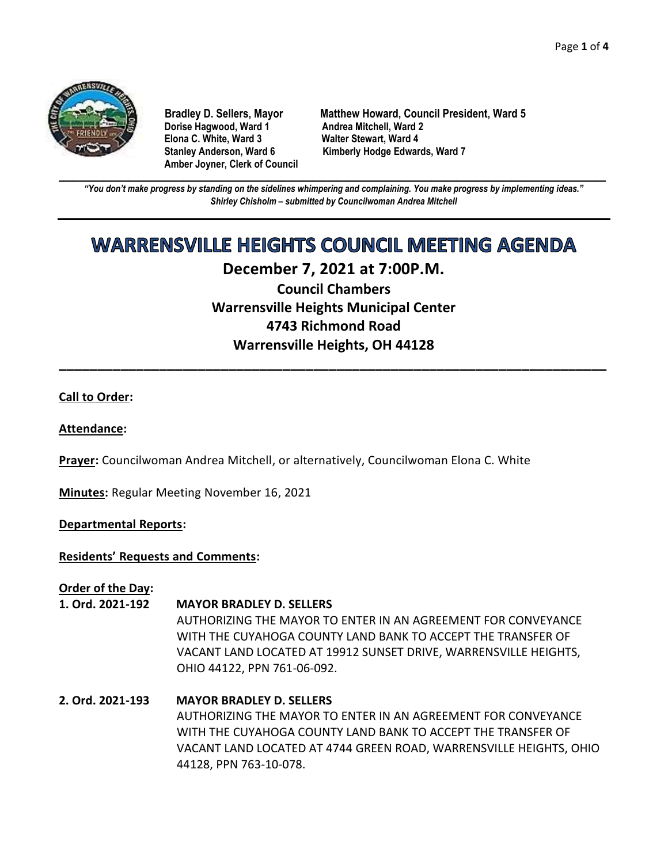

**Dorise Hagwood, Ward 1 Elona C. White, Ward 3 Walter Stewart, Ward 4 Amber Joyner, Clerk of Council**

**Bradley D. Sellers, Mayor Matthew Howard, Council President, Ward 5** Stanley Anderson, Ward 6 Kimberly Hodge Edwards, Ward 7

**\_\_\_\_\_\_\_\_\_\_\_\_\_\_\_\_\_\_\_\_\_\_\_\_\_\_\_\_\_\_\_\_\_\_\_\_\_\_\_\_\_\_\_\_\_\_\_\_\_\_\_\_\_\_\_\_\_\_\_\_\_\_\_\_\_\_\_\_\_\_\_\_\_\_\_\_\_\_\_\_\_\_\_\_\_\_\_\_\_\_\_\_\_\_\_\_\_\_\_\_\_\_\_\_\_\_\_\_\_\_** *"You don't make progress by standing on the sidelines whimpering and complaining. You make progress by implementing ideas." Shirley Chisholm – submitted by Councilwoman Andrea Mitchell*

# **WARRENSVILLE HEIGHTS COUNCIL MEETING AGENDA**

# **December 7, 2021 at 7:00P.M.**

**Council Chambers Warrensville Heights Municipal Center 4743 Richmond Road Warrensville Heights, OH 44128**

**\_\_\_\_\_\_\_\_\_\_\_\_\_\_\_\_\_\_\_\_\_\_\_\_\_\_\_\_\_\_\_\_\_\_\_\_\_\_\_\_\_\_\_\_\_\_\_\_\_\_\_\_\_\_\_\_\_\_\_\_\_\_\_\_\_\_\_\_\_\_\_**

# **Call to Order:**

# **Attendance:**

**Prayer:** Councilwoman Andrea Mitchell, or alternatively, Councilwoman Elona C. White

**Minutes:** Regular Meeting November 16, 2021

# **Departmental Reports:**

# **Residents' Requests and Comments:**

**Order of the Day:**

- **1. Ord. 2021-192 MAYOR BRADLEY D. SELLERS** AUTHORIZING THE MAYOR TO ENTER IN AN AGREEMENT FOR CONVEYANCE WITH THE CUYAHOGA COUNTY LAND BANK TO ACCEPT THE TRANSFER OF VACANT LAND LOCATED AT 19912 SUNSET DRIVE, WARRENSVILLE HEIGHTS, OHIO 44122, PPN 761-06-092.
- **2. Ord. 2021-193 MAYOR BRADLEY D. SELLERS** AUTHORIZING THE MAYOR TO ENTER IN AN AGREEMENT FOR CONVEYANCE WITH THE CUYAHOGA COUNTY LAND BANK TO ACCEPT THE TRANSFER OF VACANT LAND LOCATED AT 4744 GREEN ROAD, WARRENSVILLE HEIGHTS, OHIO 44128, PPN 763-10-078.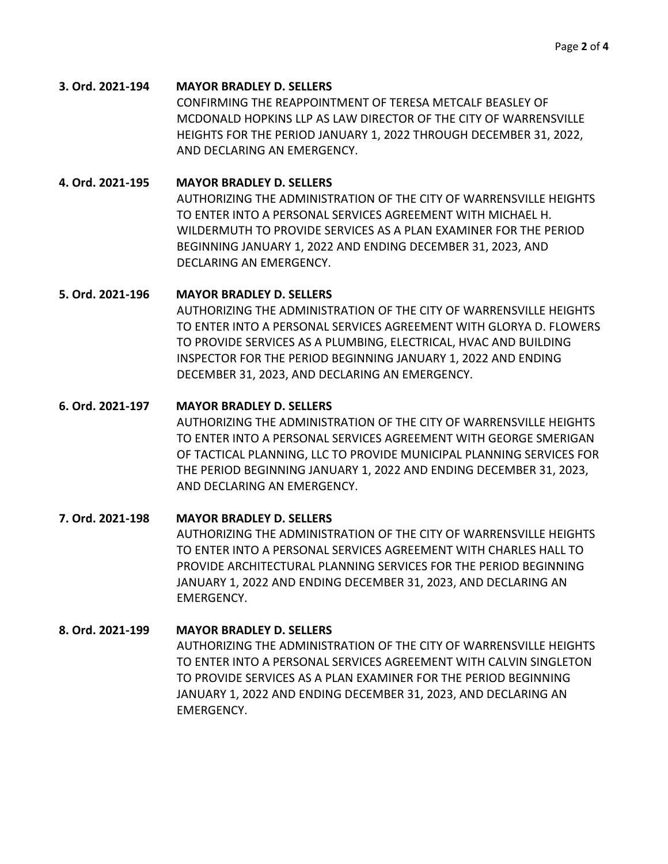#### **3. Ord. 2021-194 MAYOR BRADLEY D. SELLERS**

CONFIRMING THE REAPPOINTMENT OF TERESA METCALF BEASLEY OF MCDONALD HOPKINS LLP AS LAW DIRECTOR OF THE CITY OF WARRENSVILLE HEIGHTS FOR THE PERIOD JANUARY 1, 2022 THROUGH DECEMBER 31, 2022, AND DECLARING AN EMERGENCY.

#### **4. Ord. 2021-195 MAYOR BRADLEY D. SELLERS**

AUTHORIZING THE ADMINISTRATION OF THE CITY OF WARRENSVILLE HEIGHTS TO ENTER INTO A PERSONAL SERVICES AGREEMENT WITH MICHAEL H. WILDERMUTH TO PROVIDE SERVICES AS A PLAN EXAMINER FOR THE PERIOD BEGINNING JANUARY 1, 2022 AND ENDING DECEMBER 31, 2023, AND DECLARING AN EMERGENCY.

#### **5. Ord. 2021-196 MAYOR BRADLEY D. SELLERS**

AUTHORIZING THE ADMINISTRATION OF THE CITY OF WARRENSVILLE HEIGHTS TO ENTER INTO A PERSONAL SERVICES AGREEMENT WITH GLORYA D. FLOWERS TO PROVIDE SERVICES AS A PLUMBING, ELECTRICAL, HVAC AND BUILDING INSPECTOR FOR THE PERIOD BEGINNING JANUARY 1, 2022 AND ENDING DECEMBER 31, 2023, AND DECLARING AN EMERGENCY.

#### **6. Ord. 2021-197 MAYOR BRADLEY D. SELLERS**

AUTHORIZING THE ADMINISTRATION OF THE CITY OF WARRENSVILLE HEIGHTS TO ENTER INTO A PERSONAL SERVICES AGREEMENT WITH GEORGE SMERIGAN OF TACTICAL PLANNING, LLC TO PROVIDE MUNICIPAL PLANNING SERVICES FOR THE PERIOD BEGINNING JANUARY 1, 2022 AND ENDING DECEMBER 31, 2023, AND DECLARING AN EMERGENCY.

# **7. Ord. 2021-198 MAYOR BRADLEY D. SELLERS** AUTHORIZING THE ADMINISTRATION OF THE CITY OF WARRENSVILLE HEIGHTS TO ENTER INTO A PERSONAL SERVICES AGREEMENT WITH CHARLES HALL TO PROVIDE ARCHITECTURAL PLANNING SERVICES FOR THE PERIOD BEGINNING JANUARY 1, 2022 AND ENDING DECEMBER 31, 2023, AND DECLARING AN EMERGENCY.

#### **8. Ord. 2021-199 MAYOR BRADLEY D. SELLERS**

AUTHORIZING THE ADMINISTRATION OF THE CITY OF WARRENSVILLE HEIGHTS TO ENTER INTO A PERSONAL SERVICES AGREEMENT WITH CALVIN SINGLETON TO PROVIDE SERVICES AS A PLAN EXAMINER FOR THE PERIOD BEGINNING JANUARY 1, 2022 AND ENDING DECEMBER 31, 2023, AND DECLARING AN EMERGENCY.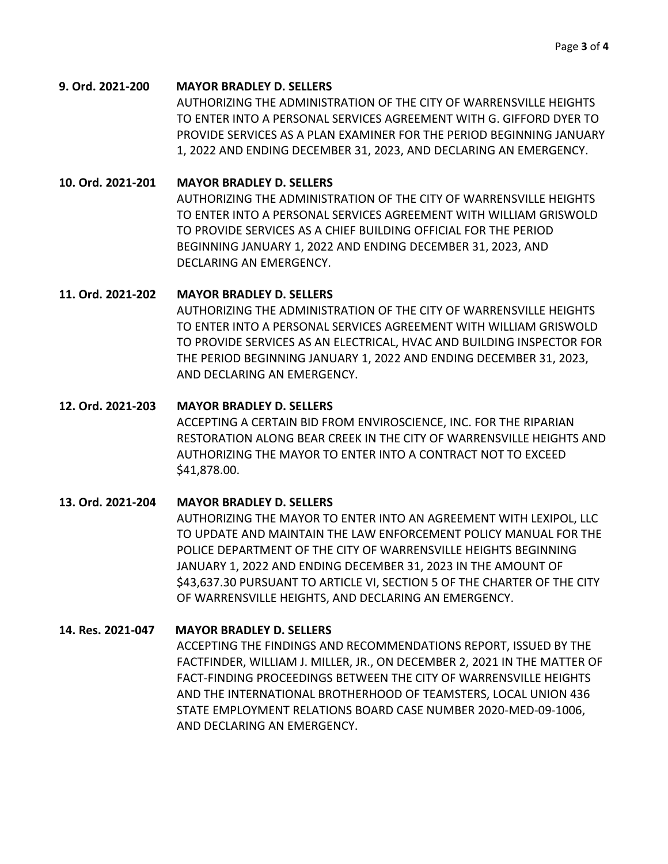#### **9. Ord. 2021-200 MAYOR BRADLEY D. SELLERS**

AUTHORIZING THE ADMINISTRATION OF THE CITY OF WARRENSVILLE HEIGHTS TO ENTER INTO A PERSONAL SERVICES AGREEMENT WITH G. GIFFORD DYER TO PROVIDE SERVICES AS A PLAN EXAMINER FOR THE PERIOD BEGINNING JANUARY 1, 2022 AND ENDING DECEMBER 31, 2023, AND DECLARING AN EMERGENCY.

### **10. Ord. 2021-201 MAYOR BRADLEY D. SELLERS**

AUTHORIZING THE ADMINISTRATION OF THE CITY OF WARRENSVILLE HEIGHTS TO ENTER INTO A PERSONAL SERVICES AGREEMENT WITH WILLIAM GRISWOLD TO PROVIDE SERVICES AS A CHIEF BUILDING OFFICIAL FOR THE PERIOD BEGINNING JANUARY 1, 2022 AND ENDING DECEMBER 31, 2023, AND DECLARING AN EMERGENCY.

# **11. Ord. 2021-202 MAYOR BRADLEY D. SELLERS**

AUTHORIZING THE ADMINISTRATION OF THE CITY OF WARRENSVILLE HEIGHTS TO ENTER INTO A PERSONAL SERVICES AGREEMENT WITH WILLIAM GRISWOLD TO PROVIDE SERVICES AS AN ELECTRICAL, HVAC AND BUILDING INSPECTOR FOR THE PERIOD BEGINNING JANUARY 1, 2022 AND ENDING DECEMBER 31, 2023, AND DECLARING AN EMERGENCY.

#### **12. Ord. 2021-203 MAYOR BRADLEY D. SELLERS**

ACCEPTING A CERTAIN BID FROM ENVIROSCIENCE, INC. FOR THE RIPARIAN RESTORATION ALONG BEAR CREEK IN THE CITY OF WARRENSVILLE HEIGHTS AND AUTHORIZING THE MAYOR TO ENTER INTO A CONTRACT NOT TO EXCEED \$41,878.00.

# **13. Ord. 2021-204 MAYOR BRADLEY D. SELLERS**

AUTHORIZING THE MAYOR TO ENTER INTO AN AGREEMENT WITH LEXIPOL, LLC TO UPDATE AND MAINTAIN THE LAW ENFORCEMENT POLICY MANUAL FOR THE POLICE DEPARTMENT OF THE CITY OF WARRENSVILLE HEIGHTS BEGINNING JANUARY 1, 2022 AND ENDING DECEMBER 31, 2023 IN THE AMOUNT OF \$43,637.30 PURSUANT TO ARTICLE VI, SECTION 5 OF THE CHARTER OF THE CITY OF WARRENSVILLE HEIGHTS, AND DECLARING AN EMERGENCY.

# **14. Res. 2021-047 MAYOR BRADLEY D. SELLERS**

ACCEPTING THE FINDINGS AND RECOMMENDATIONS REPORT, ISSUED BY THE FACTFINDER, WILLIAM J. MILLER, JR., ON DECEMBER 2, 2021 IN THE MATTER OF FACT-FINDING PROCEEDINGS BETWEEN THE CITY OF WARRENSVILLE HEIGHTS AND THE INTERNATIONAL BROTHERHOOD OF TEAMSTERS, LOCAL UNION 436 STATE EMPLOYMENT RELATIONS BOARD CASE NUMBER 2020-MED-09-1006, AND DECLARING AN EMERGENCY.